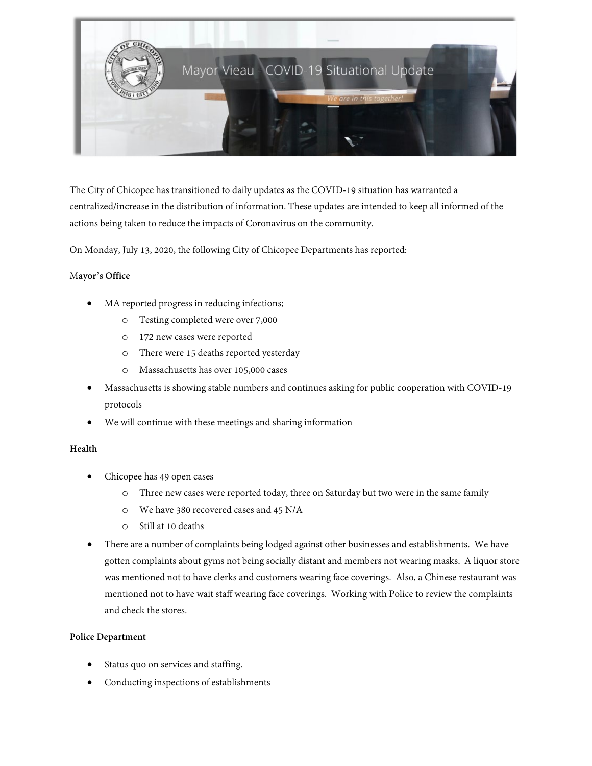

The City of Chicopee has transitioned to daily updates as the COVID-19 situation has warranted a centralized/increase in the distribution of information. These updates are intended to keep all informed of the actions being taken to reduce the impacts of Coronavirus on the community.

On Monday, July 13, 2020, the following City of Chicopee Departments has reported:

## M**ayor's Office**

- MA reported progress in reducing infections;
	- o Testing completed were over 7,000
	- o 172 new cases were reported
	- o There were 15 deaths reported yesterday
	- o Massachusetts has over 105,000 cases
- Massachusetts is showing stable numbers and continues asking for public cooperation with COVID-19 protocols
- We will continue with these meetings and sharing information

## **Health**

- Chicopee has 49 open cases
	- o Three new cases were reported today, three on Saturday but two were in the same family
	- o We have 380 recovered cases and 45 N/A
	- o Still at 10 deaths
- There are a number of complaints being lodged against other businesses and establishments. We have gotten complaints about gyms not being socially distant and members not wearing masks. A liquor store was mentioned not to have clerks and customers wearing face coverings. Also, a Chinese restaurant was mentioned not to have wait staff wearing face coverings. Working with Police to review the complaints and check the stores.

## **Police Department**

- Status quo on services and staffing.
- Conducting inspections of establishments